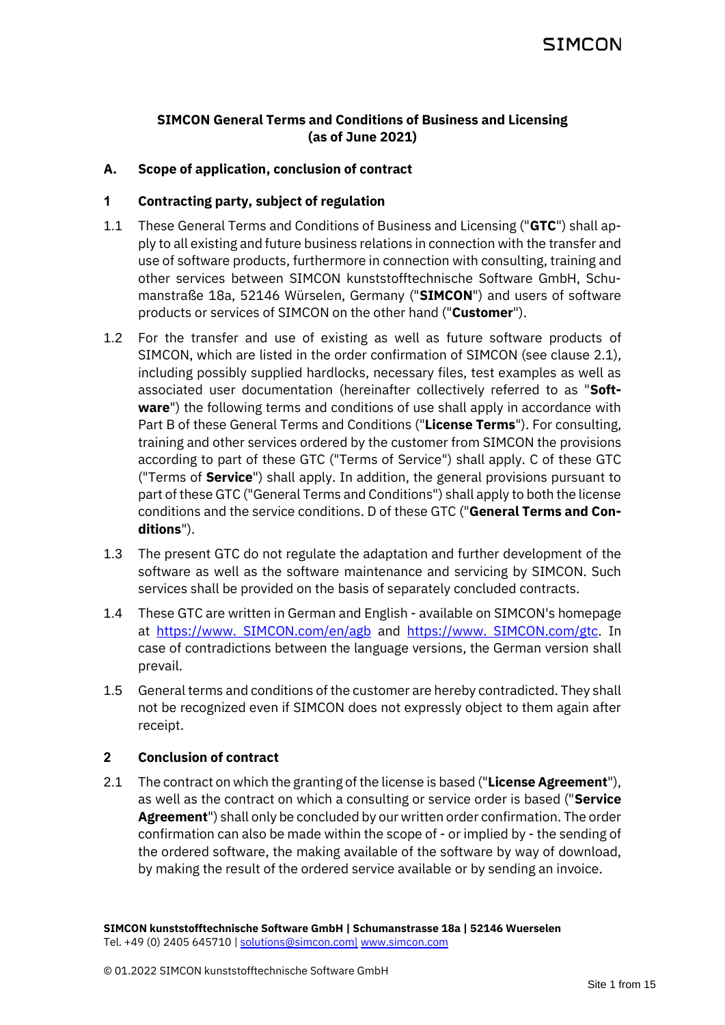# **SIMCON General Terms and Conditions of Business and Licensing (as of June 2021)**

### **A. Scope of application, conclusion of contract**

### **1 Contracting party, subject of regulation**

- 1.1 These General Terms and Conditions of Business and Licensing ("**GTC**") shall apply to all existing and future business relations in connection with the transfer and use of software products, furthermore in connection with consulting, training and other services between SIMCON kunststofftechnische Software GmbH, Schumanstraße 18a, 52146 Würselen, Germany ("**SIMCON**") and users of software products or services of SIMCON on the other hand ("**Customer**").
- 1.2 For the transfer and use of existing as well as future software products of SIMCON, which are listed in the order confirmation of SIMCON (see clause [2.1\)](#page-0-0), including possibly supplied hardlocks, necessary files, test examples as well as associated user documentation (hereinafter collectively referred to as "**Software**") the following terms and conditions of use shall apply in accordance with Part [B](#page-1-0) of these General Terms and Conditions ("**License Terms**"). For consulting, training and other services ordered by the customer from SIMCON the provisions according to part of these GTC ("Terms of Service") shall apply. [C](#page-5-0) of these GTC ("Terms of **Service**") shall apply. In addition, the general provisions pursuant to part of these GTC ("General Terms and Conditions") shall apply to both the license conditions and the service conditions[. D](#page-9-0) of these GTC ("**General Terms and Conditions**").
- 1.3 The present GTC do not regulate the adaptation and further development of the software as well as the software maintenance and servicing by SIMCON. Such services shall be provided on the basis of separately concluded contracts.
- 1.4 These GTC are written in German and English available on SIMCON's homepage at [https://www. SIMCON.com/en/agb](https://www.simcon.com/de/agb) and [https://www. SIMCON.com/gtc.](https://www.simcon.com/gtc) In case of contradictions between the language versions, the German version shall prevail.
- 1.5 General terms and conditions of the customer are hereby contradicted. They shall not be recognized even if SIMCON does not expressly object to them again after receipt.

### **2 Conclusion of contract**

<span id="page-0-0"></span>2.1 The contract on which the granting of the license is based ("**License Agreement**"), as well as the contract on which a consulting or service order is based ("**Service Agreement**") shall only be concluded by our written order confirmation. The order confirmation can also be made within the scope of - or implied by - the sending of the ordered software, the making available of the software by way of download, by making the result of the ordered service available or by sending an invoice.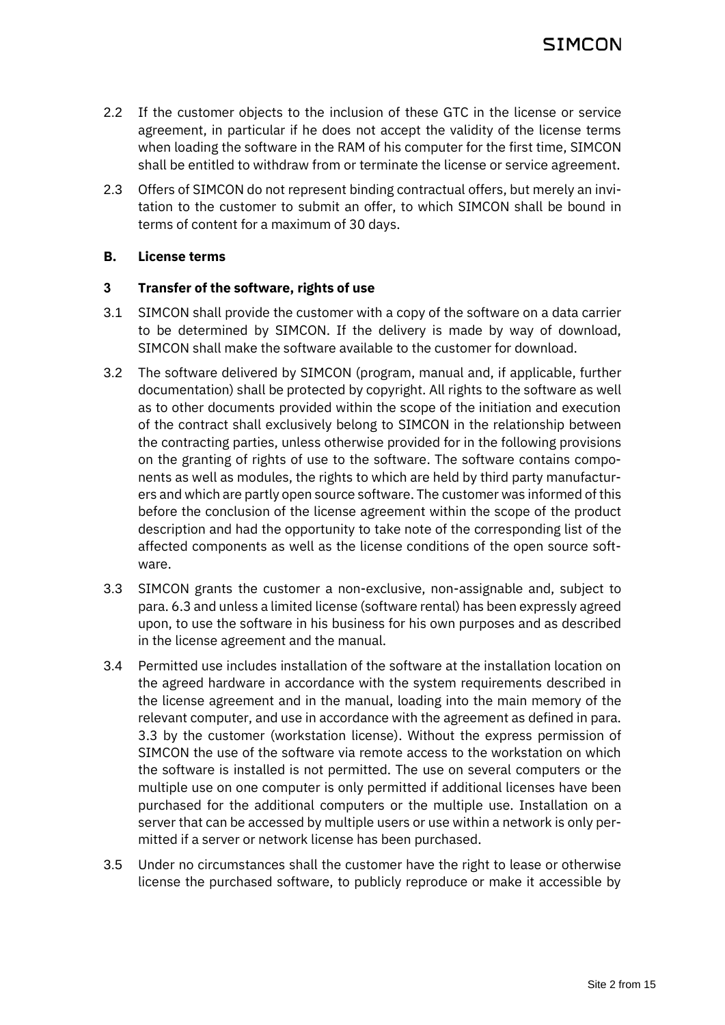- 2.2 If the customer objects to the inclusion of these GTC in the license or service agreement, in particular if he does not accept the validity of the license terms when loading the software in the RAM of his computer for the first time, SIMCON shall be entitled to withdraw from or terminate the license or service agreement.
- 2.3 Offers of SIMCON do not represent binding contractual offers, but merely an invitation to the customer to submit an offer, to which SIMCON shall be bound in terms of content for a maximum of 30 days.

### <span id="page-1-0"></span>**B. License terms**

## **3 Transfer of the software, rights of use**

- 3.1 SIMCON shall provide the customer with a copy of the software on a data carrier to be determined by SIMCON. If the delivery is made by way of download, SIMCON shall make the software available to the customer for download.
- 3.2 The software delivered by SIMCON (program, manual and, if applicable, further documentation) shall be protected by copyright. All rights to the software as well as to other documents provided within the scope of the initiation and execution of the contract shall exclusively belong to SIMCON in the relationship between the contracting parties, unless otherwise provided for in the following provisions on the granting of rights of use to the software. The software contains components as well as modules, the rights to which are held by third party manufacturers and which are partly open source software. The customer was informed of this before the conclusion of the license agreement within the scope of the product description and had the opportunity to take note of the corresponding list of the affected components as well as the license conditions of the open source software.
- <span id="page-1-1"></span>3.3 SIMCON grants the customer a non-exclusive, non-assignable and, subject to para[. 6.3](#page-4-0) and unless a limited license (software rental) has been expressly agreed upon, to use the software in his business for his own purposes and as described in the license agreement and the manual.
- 3.4 Permitted use includes installation of the software at the installation location on the agreed hardware in accordance with the system requirements described in the license agreement and in the manual, loading into the main memory of the relevant computer, and use in accordance with the agreement as defined in para. [3.3](#page-1-1) by the customer (workstation license). Without the express permission of SIMCON the use of the software via remote access to the workstation on which the software is installed is not permitted. The use on several computers or the multiple use on one computer is only permitted if additional licenses have been purchased for the additional computers or the multiple use. Installation on a server that can be accessed by multiple users or use within a network is only permitted if a server or network license has been purchased.
- 3.5 Under no circumstances shall the customer have the right to lease or otherwise license the purchased software, to publicly reproduce or make it accessible by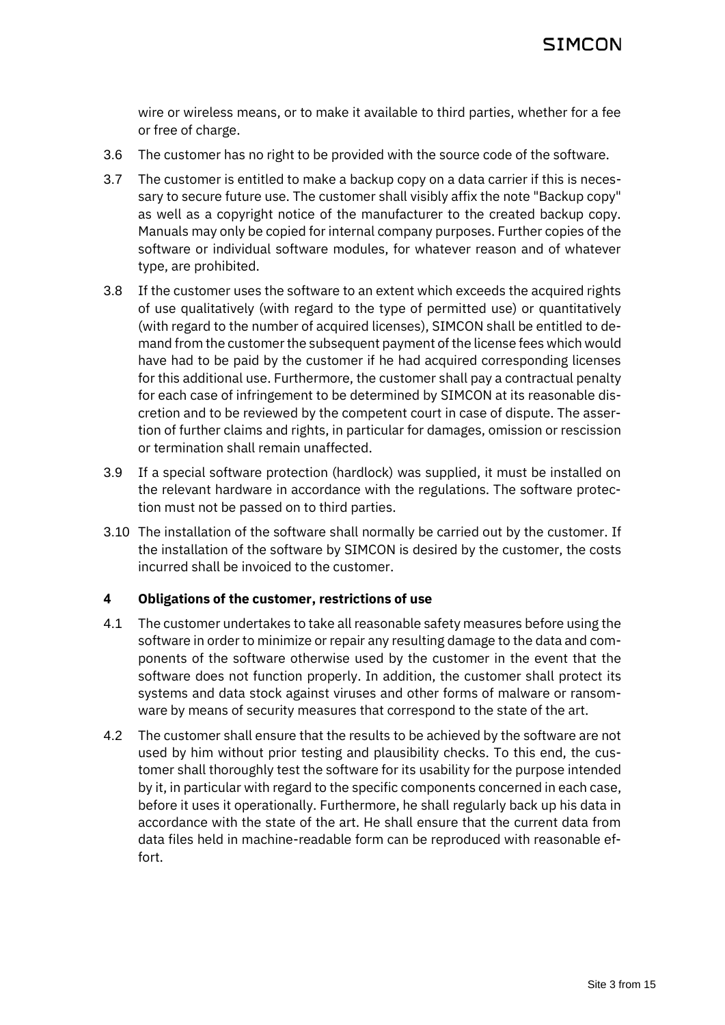wire or wireless means, or to make it available to third parties, whether for a fee or free of charge.

- 3.6 The customer has no right to be provided with the source code of the software.
- 3.7 The customer is entitled to make a backup copy on a data carrier if this is necessary to secure future use. The customer shall visibly affix the note "Backup copy" as well as a copyright notice of the manufacturer to the created backup copy. Manuals may only be copied for internal company purposes. Further copies of the software or individual software modules, for whatever reason and of whatever type, are prohibited.
- 3.8 If the customer uses the software to an extent which exceeds the acquired rights of use qualitatively (with regard to the type of permitted use) or quantitatively (with regard to the number of acquired licenses), SIMCON shall be entitled to demand from the customer the subsequent payment of the license fees which would have had to be paid by the customer if he had acquired corresponding licenses for this additional use. Furthermore, the customer shall pay a contractual penalty for each case of infringement to be determined by SIMCON at its reasonable discretion and to be reviewed by the competent court in case of dispute. The assertion of further claims and rights, in particular for damages, omission or rescission or termination shall remain unaffected.
- 3.9 If a special software protection (hardlock) was supplied, it must be installed on the relevant hardware in accordance with the regulations. The software protection must not be passed on to third parties.
- 3.10 The installation of the software shall normally be carried out by the customer. If the installation of the software by SIMCON is desired by the customer, the costs incurred shall be invoiced to the customer.

#### **4 Obligations of the customer, restrictions of use**

- 4.1 The customer undertakes to take all reasonable safety measures before using the software in order to minimize or repair any resulting damage to the data and components of the software otherwise used by the customer in the event that the software does not function properly. In addition, the customer shall protect its systems and data stock against viruses and other forms of malware or ransomware by means of security measures that correspond to the state of the art.
- 4.2 The customer shall ensure that the results to be achieved by the software are not used by him without prior testing and plausibility checks. To this end, the customer shall thoroughly test the software for its usability for the purpose intended by it, in particular with regard to the specific components concerned in each case, before it uses it operationally. Furthermore, he shall regularly back up his data in accordance with the state of the art. He shall ensure that the current data from data files held in machine-readable form can be reproduced with reasonable effort.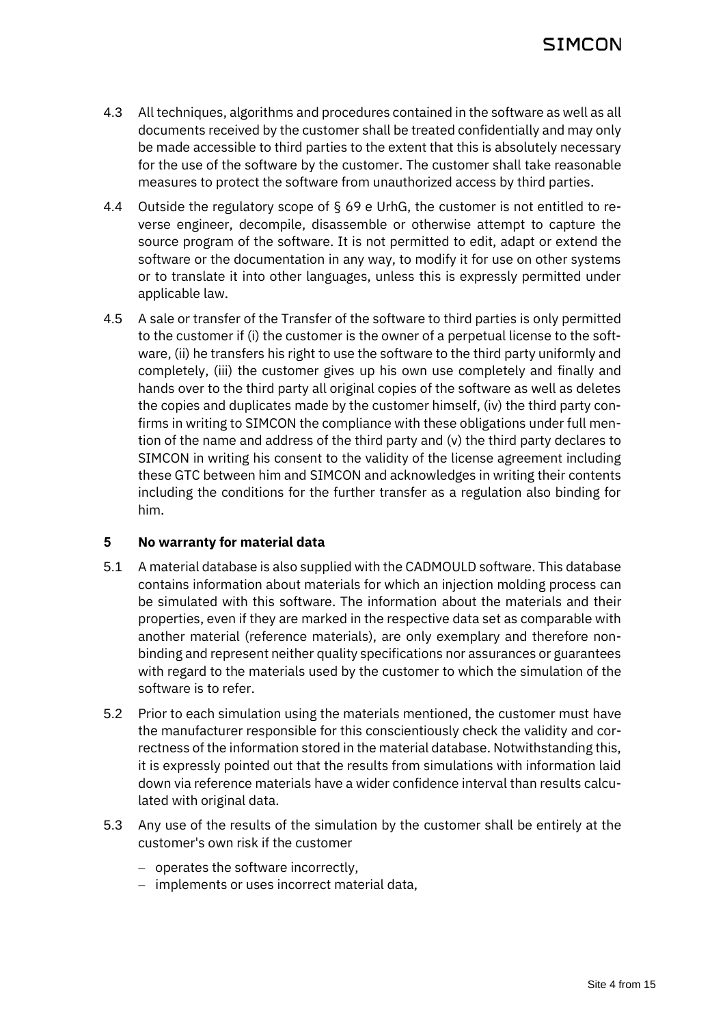- 4.3 All techniques, algorithms and procedures contained in the software as well as all documents received by the customer shall be treated confidentially and may only be made accessible to third parties to the extent that this is absolutely necessary for the use of the software by the customer. The customer shall take reasonable measures to protect the software from unauthorized access by third parties.
- 4.4 Outside the regulatory scope of § 69 e UrhG, the customer is not entitled to reverse engineer, decompile, disassemble or otherwise attempt to capture the source program of the software. It is not permitted to edit, adapt or extend the software or the documentation in any way, to modify it for use on other systems or to translate it into other languages, unless this is expressly permitted under applicable law.
- 4.5 A sale or transfer of the Transfer of the software to third parties is only permitted to the customer if (i) the customer is the owner of a perpetual license to the software, (ii) he transfers his right to use the software to the third party uniformly and completely, (iii) the customer gives up his own use completely and finally and hands over to the third party all original copies of the software as well as deletes the copies and duplicates made by the customer himself, (iv) the third party confirms in writing to SIMCON the compliance with these obligations under full mention of the name and address of the third party and (v) the third party declares to SIMCON in writing his consent to the validity of the license agreement including these GTC between him and SIMCON and acknowledges in writing their contents including the conditions for the further transfer as a regulation also binding for him.

### **5 No warranty for material data**

- 5.1 A material database is also supplied with the CADMOULD software. This database contains information about materials for which an injection molding process can be simulated with this software. The information about the materials and their properties, even if they are marked in the respective data set as comparable with another material (reference materials), are only exemplary and therefore nonbinding and represent neither quality specifications nor assurances or guarantees with regard to the materials used by the customer to which the simulation of the software is to refer.
- 5.2 Prior to each simulation using the materials mentioned, the customer must have the manufacturer responsible for this conscientiously check the validity and correctness of the information stored in the material database. Notwithstanding this, it is expressly pointed out that the results from simulations with information laid down via reference materials have a wider confidence interval than results calculated with original data.
- 5.3 Any use of the results of the simulation by the customer shall be entirely at the customer's own risk if the customer
	- − operates the software incorrectly,
	- − implements or uses incorrect material data,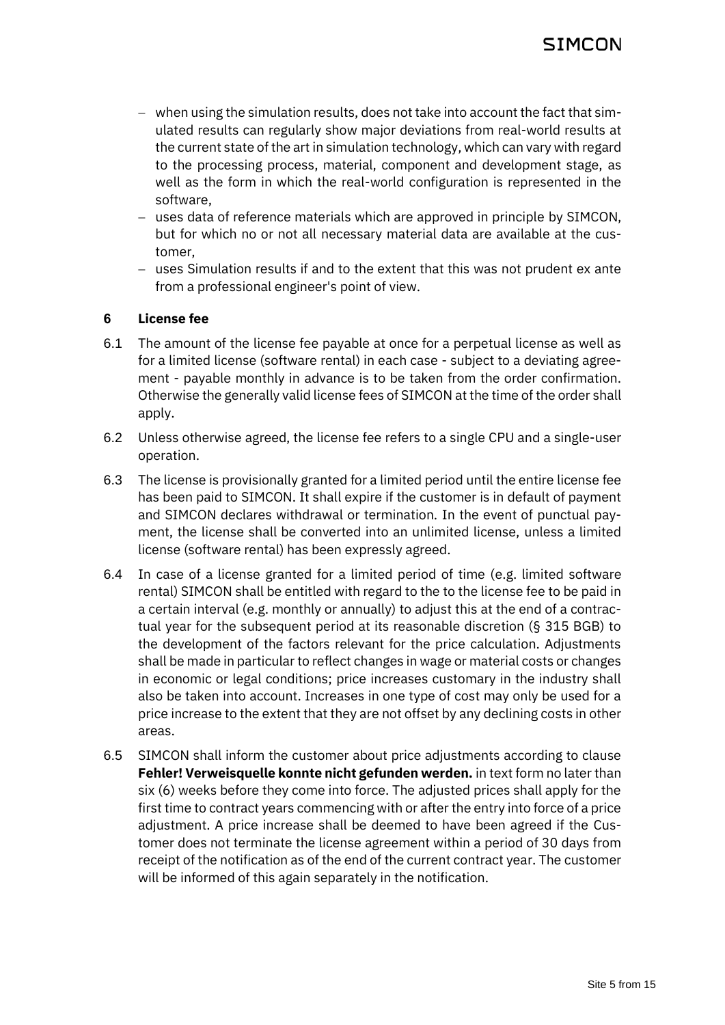- − when using the simulation results, does not take into account the fact that simulated results can regularly show major deviations from real-world results at the current state of the art in simulation technology, which can vary with regard to the processing process, material, component and development stage, as well as the form in which the real-world configuration is represented in the software,
- − uses data of reference materials which are approved in principle by SIMCON, but for which no or not all necessary material data are available at the customer,
- − uses Simulation results if and to the extent that this was not prudent ex ante from a professional engineer's point of view.

### **6 License fee**

- 6.1 The amount of the license fee payable at once for a perpetual license as well as for a limited license (software rental) in each case - subject to a deviating agreement - payable monthly in advance is to be taken from the order confirmation. Otherwise the generally valid license fees of SIMCON at the time of the order shall apply.
- 6.2 Unless otherwise agreed, the license fee refers to a single CPU and a single-user operation.
- <span id="page-4-0"></span>6.3 The license is provisionally granted for a limited period until the entire license fee has been paid to SIMCON. It shall expire if the customer is in default of payment and SIMCON declares withdrawal or termination. In the event of punctual payment, the license shall be converted into an unlimited license, unless a limited license (software rental) has been expressly agreed.
- 6.4 In case of a license granted for a limited period of time (e.g. limited software rental) SIMCON shall be entitled with regard to the to the license fee to be paid in a certain interval (e.g. monthly or annually) to adjust this at the end of a contractual year for the subsequent period at its reasonable discretion (§ 315 BGB) to the development of the factors relevant for the price calculation. Adjustments shall be made in particular to reflect changes in wage or material costs or changes in economic or legal conditions; price increases customary in the industry shall also be taken into account. Increases in one type of cost may only be used for a price increase to the extent that they are not offset by any declining costs in other areas.
- 6.5 SIMCON shall inform the customer about price adjustments according to clause **Fehler! Verweisquelle konnte nicht gefunden werden.** in text form no later than six (6) weeks before they come into force. The adjusted prices shall apply for the first time to contract years commencing with or after the entry into force of a price adjustment. A price increase shall be deemed to have been agreed if the Customer does not terminate the license agreement within a period of 30 days from receipt of the notification as of the end of the current contract year. The customer will be informed of this again separately in the notification.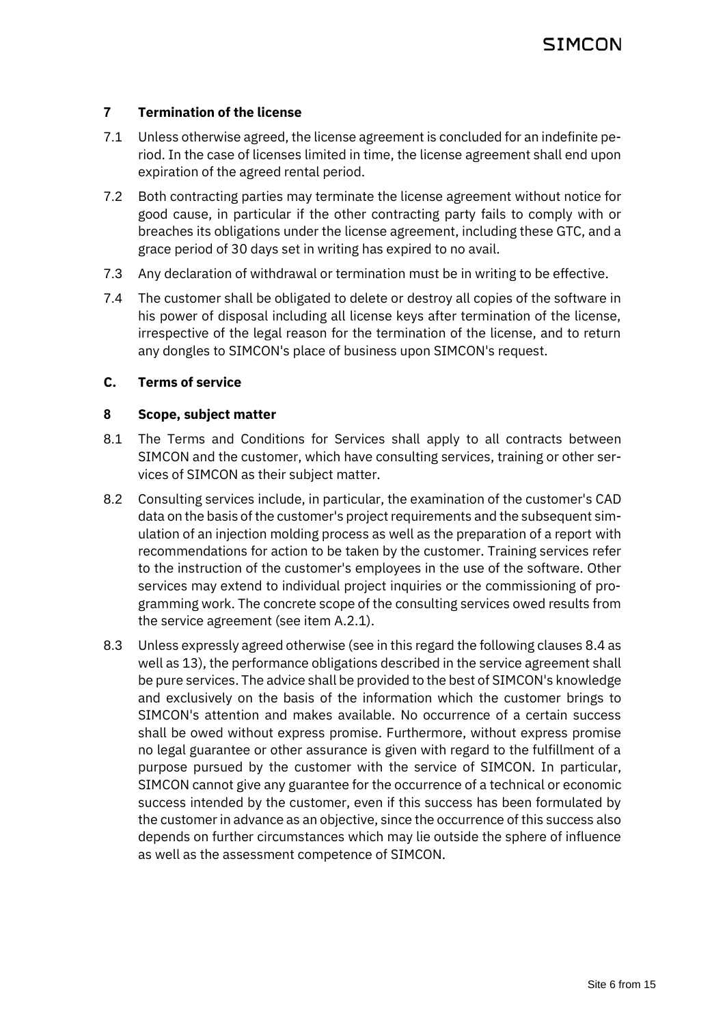### **7 Termination of the license**

- 7.1 Unless otherwise agreed, the license agreement is concluded for an indefinite period. In the case of licenses limited in time, the license agreement shall end upon expiration of the agreed rental period.
- 7.2 Both contracting parties may terminate the license agreement without notice for good cause, in particular if the other contracting party fails to comply with or breaches its obligations under the license agreement, including these GTC, and a grace period of 30 days set in writing has expired to no avail.
- 7.3 Any declaration of withdrawal or termination must be in writing to be effective.
- 7.4 The customer shall be obligated to delete or destroy all copies of the software in his power of disposal including all license keys after termination of the license, irrespective of the legal reason for the termination of the license, and to return any dongles to SIMCON's place of business upon SIMCON's request.

### <span id="page-5-0"></span>**C. Terms of service**

### **8 Scope, subject matter**

- 8.1 The Terms and Conditions for Services shall apply to all contracts between SIMCON and the customer, which have consulting services, training or other services of SIMCON as their subject matter.
- 8.2 Consulting services include, in particular, the examination of the customer's CAD data on the basis of the customer's project requirements and the subsequent simulation of an injection molding process as well as the preparation of a report with recommendations for action to be taken by the customer. Training services refer to the instruction of the customer's employees in the use of the software. Other services may extend to individual project inquiries or the commissioning of programming work. The concrete scope of the consulting services owed results from the service agreement (see ite[m A.2.1\)](#page-0-0).
- 8.3 Unless expressly agreed otherwise (see in this regard the following clause[s 8.4](#page-6-0) as well a[s 13\)](#page-7-0), the performance obligations described in the service agreement shall be pure services. The advice shall be provided to the best of SIMCON's knowledge and exclusively on the basis of the information which the customer brings to SIMCON's attention and makes available. No occurrence of a certain success shall be owed without express promise. Furthermore, without express promise no legal guarantee or other assurance is given with regard to the fulfillment of a purpose pursued by the customer with the service of SIMCON. In particular, SIMCON cannot give any guarantee for the occurrence of a technical or economic success intended by the customer, even if this success has been formulated by the customer in advance as an objective, since the occurrence of this success also depends on further circumstances which may lie outside the sphere of influence as well as the assessment competence of SIMCON.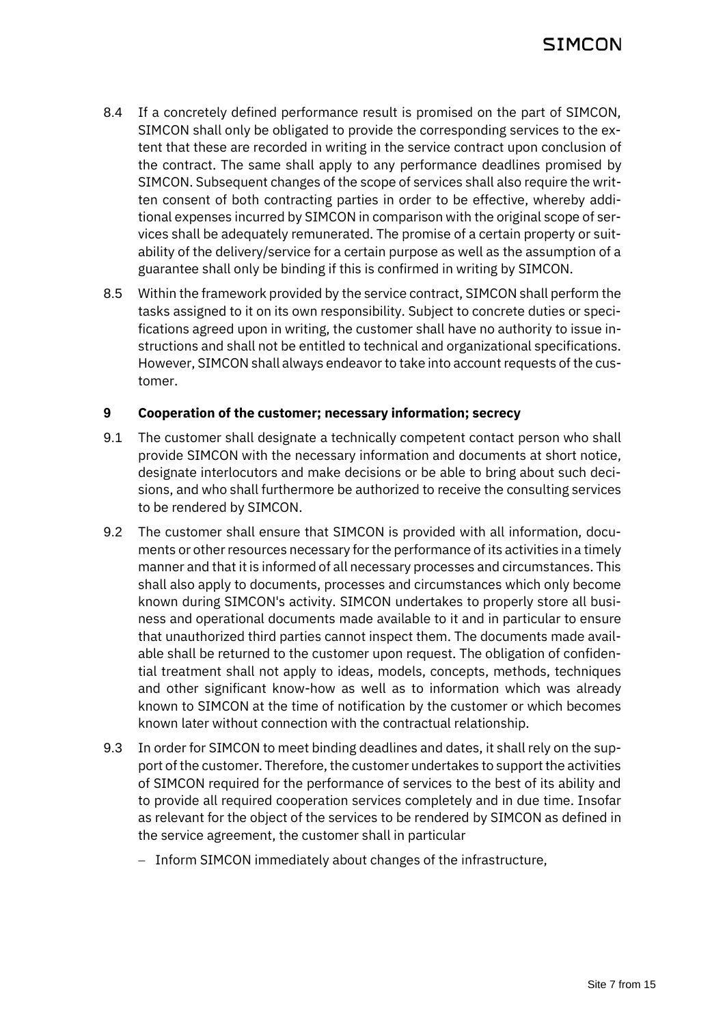- <span id="page-6-0"></span>8.4 If a concretely defined performance result is promised on the part of SIMCON, SIMCON shall only be obligated to provide the corresponding services to the extent that these are recorded in writing in the service contract upon conclusion of the contract. The same shall apply to any performance deadlines promised by SIMCON. Subsequent changes of the scope of services shall also require the written consent of both contracting parties in order to be effective, whereby additional expenses incurred by SIMCON in comparison with the original scope of services shall be adequately remunerated. The promise of a certain property or suitability of the delivery/service for a certain purpose as well as the assumption of a guarantee shall only be binding if this is confirmed in writing by SIMCON.
- 8.5 Within the framework provided by the service contract, SIMCON shall perform the tasks assigned to it on its own responsibility. Subject to concrete duties or specifications agreed upon in writing, the customer shall have no authority to issue instructions and shall not be entitled to technical and organizational specifications. However, SIMCON shall always endeavor to take into account requests of the customer.

#### **9 Cooperation of the customer; necessary information; secrecy**

- 9.1 The customer shall designate a technically competent contact person who shall provide SIMCON with the necessary information and documents at short notice, designate interlocutors and make decisions or be able to bring about such decisions, and who shall furthermore be authorized to receive the consulting services to be rendered by SIMCON.
- 9.2 The customer shall ensure that SIMCON is provided with all information, documents or other resources necessary for the performance of its activities in a timely manner and that it is informed of all necessary processes and circumstances. This shall also apply to documents, processes and circumstances which only become known during SIMCON's activity. SIMCON undertakes to properly store all business and operational documents made available to it and in particular to ensure that unauthorized third parties cannot inspect them. The documents made available shall be returned to the customer upon request. The obligation of confidential treatment shall not apply to ideas, models, concepts, methods, techniques and other significant know-how as well as to information which was already known to SIMCON at the time of notification by the customer or which becomes known later without connection with the contractual relationship.
- 9.3 In order for SIMCON to meet binding deadlines and dates, it shall rely on the support of the customer. Therefore, the customer undertakes to support the activities of SIMCON required for the performance of services to the best of its ability and to provide all required cooperation services completely and in due time. Insofar as relevant for the object of the services to be rendered by SIMCON as defined in the service agreement, the customer shall in particular
	- − Inform SIMCON immediately about changes of the infrastructure,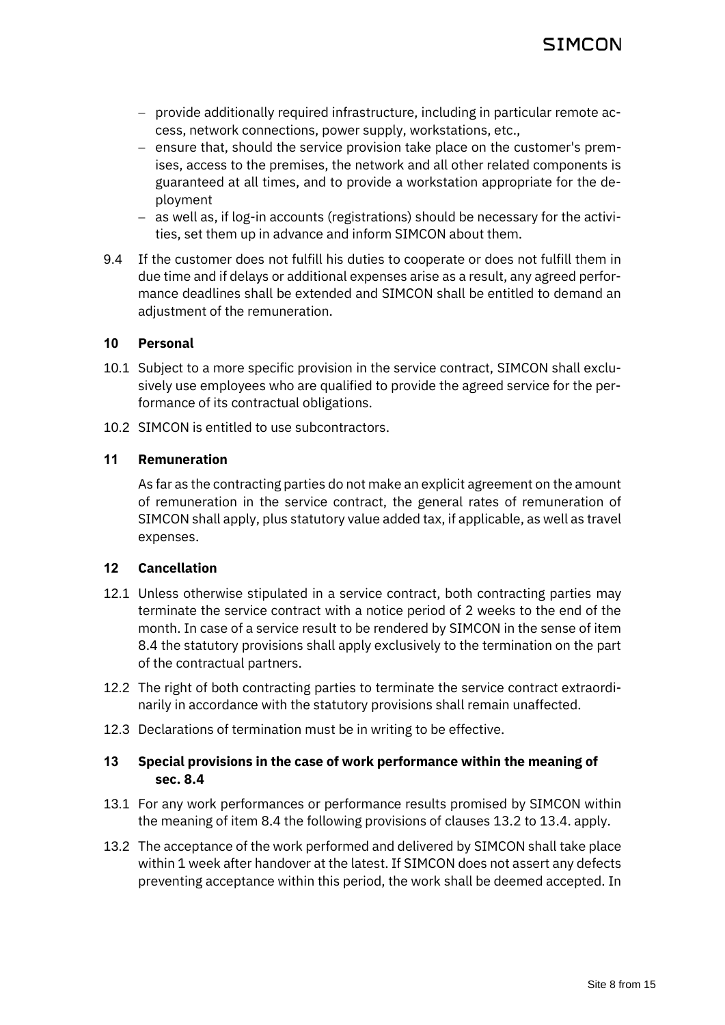- − provide additionally required infrastructure, including in particular remote access, network connections, power supply, workstations, etc.,
- − ensure that, should the service provision take place on the customer's premises, access to the premises, the network and all other related components is guaranteed at all times, and to provide a workstation appropriate for the deployment
- − as well as, if log-in accounts (registrations) should be necessary for the activities, set them up in advance and inform SIMCON about them.
- 9.4 If the customer does not fulfill his duties to cooperate or does not fulfill them in due time and if delays or additional expenses arise as a result, any agreed performance deadlines shall be extended and SIMCON shall be entitled to demand an adiustment of the remuneration.

### **10 Personal**

- 10.1 Subject to a more specific provision in the service contract, SIMCON shall exclusively use employees who are qualified to provide the agreed service for the performance of its contractual obligations.
- 10.2 SIMCON is entitled to use subcontractors.

#### **11 Remuneration**

As far as the contracting parties do not make an explicit agreement on the amount of remuneration in the service contract, the general rates of remuneration of SIMCON shall apply, plus statutory value added tax, if applicable, as well as travel expenses.

### **12 Cancellation**

- 12.1 Unless otherwise stipulated in a service contract, both contracting parties may terminate the service contract with a notice period of 2 weeks to the end of the month. In case of a service result to be rendered by SIMCON in the sense of item [8.4](#page-6-0) the statutory provisions shall apply exclusively to the termination on the part of the contractual partners.
- 12.2 The right of both contracting parties to terminate the service contract extraordinarily in accordance with the statutory provisions shall remain unaffected.
- 12.3 Declarations of termination must be in writing to be effective.

## <span id="page-7-0"></span>**13 Special provisions in the case of work performance within the meaning of sec. [8.4](#page-6-0)**

- 13.1 For any work performances or performance results promised by SIMCON within the meaning of ite[m 8.4](#page-6-0) the following provisions of clauses [13.2](#page-7-1) to [13.4.](#page-8-0) apply.
- <span id="page-7-1"></span>13.2 The acceptance of the work performed and delivered by SIMCON shall take place within 1 week after handover at the latest. If SIMCON does not assert any defects preventing acceptance within this period, the work shall be deemed accepted. In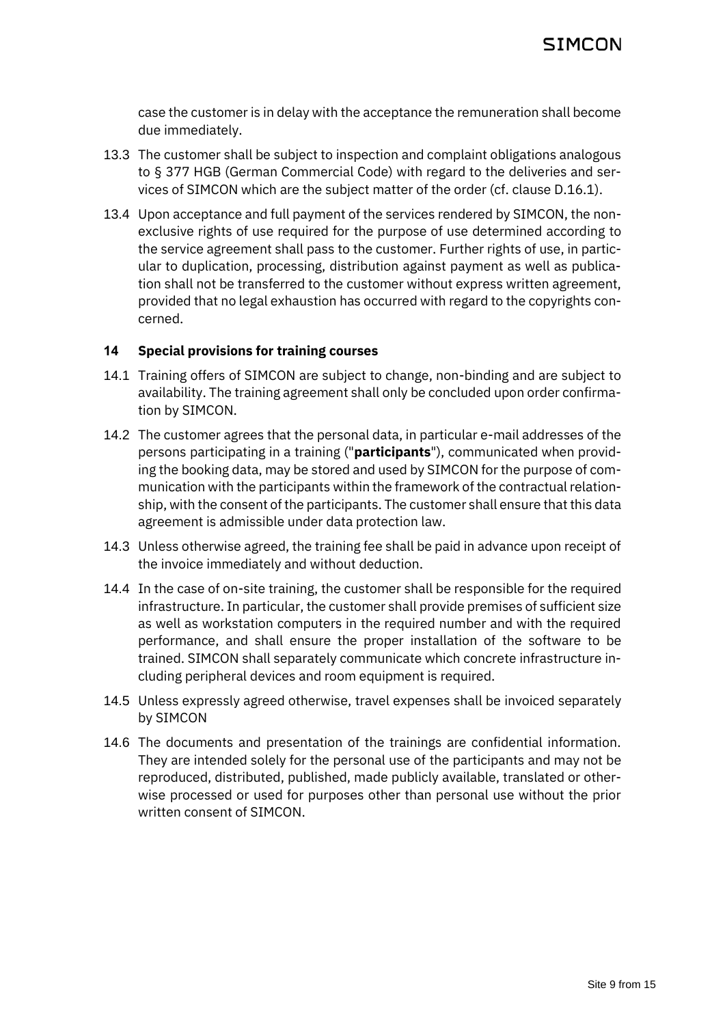case the customer is in delay with the acceptance the remuneration shall become due immediately.

- 13.3 The customer shall be subject to inspection and complaint obligations analogous to § 377 HGB (German Commercial Code) with regard to the deliveries and services of SIMCON which are the subject matter of the order (cf. clause [D.16.1\)](#page-9-1).
- <span id="page-8-0"></span>13.4 Upon acceptance and full payment of the services rendered by SIMCON, the nonexclusive rights of use required for the purpose of use determined according to the service agreement shall pass to the customer. Further rights of use, in particular to duplication, processing, distribution against payment as well as publication shall not be transferred to the customer without express written agreement, provided that no legal exhaustion has occurred with regard to the copyrights concerned.

### **14 Special provisions for training courses**

- 14.1 Training offers of SIMCON are subject to change, non-binding and are subject to availability. The training agreement shall only be concluded upon order confirmation by SIMCON.
- 14.2 The customer agrees that the personal data, in particular e-mail addresses of the persons participating in a training ("**participants**"), communicated when providing the booking data, may be stored and used by SIMCON for the purpose of communication with the participants within the framework of the contractual relationship, with the consent of the participants. The customer shall ensure that this data agreement is admissible under data protection law.
- 14.3 Unless otherwise agreed, the training fee shall be paid in advance upon receipt of the invoice immediately and without deduction.
- 14.4 In the case of on-site training, the customer shall be responsible for the required infrastructure. In particular, the customer shall provide premises of sufficient size as well as workstation computers in the required number and with the required performance, and shall ensure the proper installation of the software to be trained. SIMCON shall separately communicate which concrete infrastructure including peripheral devices and room equipment is required.
- 14.5 Unless expressly agreed otherwise, travel expenses shall be invoiced separately by SIMCON
- 14.6 The documents and presentation of the trainings are confidential information. They are intended solely for the personal use of the participants and may not be reproduced, distributed, published, made publicly available, translated or otherwise processed or used for purposes other than personal use without the prior written consent of SIMCON.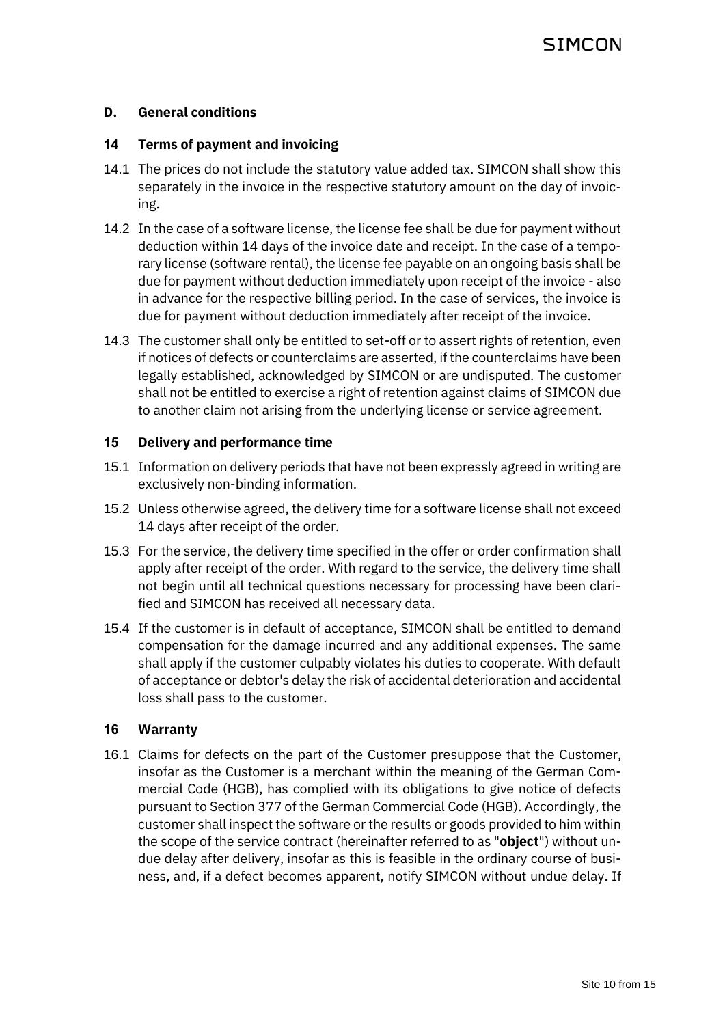### <span id="page-9-0"></span>**D. General conditions**

#### **14 Terms of payment and invoicing**

- 14.1 The prices do not include the statutory value added tax. SIMCON shall show this separately in the invoice in the respective statutory amount on the day of invoicing.
- 14.2 In the case of a software license, the license fee shall be due for payment without deduction within 14 days of the invoice date and receipt. In the case of a temporary license (software rental), the license fee payable on an ongoing basis shall be due for payment without deduction immediately upon receipt of the invoice - also in advance for the respective billing period. In the case of services, the invoice is due for payment without deduction immediately after receipt of the invoice.
- 14.3 The customer shall only be entitled to set-off or to assert rights of retention, even if notices of defects or counterclaims are asserted, if the counterclaims have been legally established, acknowledged by SIMCON or are undisputed. The customer shall not be entitled to exercise a right of retention against claims of SIMCON due to another claim not arising from the underlying license or service agreement.

#### **15 Delivery and performance time**

- 15.1 Information on delivery periods that have not been expressly agreed in writing are exclusively non-binding information.
- 15.2 Unless otherwise agreed, the delivery time for a software license shall not exceed 14 days after receipt of the order.
- 15.3 For the service, the delivery time specified in the offer or order confirmation shall apply after receipt of the order. With regard to the service, the delivery time shall not begin until all technical questions necessary for processing have been clarified and SIMCON has received all necessary data.
- 15.4 If the customer is in default of acceptance, SIMCON shall be entitled to demand compensation for the damage incurred and any additional expenses. The same shall apply if the customer culpably violates his duties to cooperate. With default of acceptance or debtor's delay the risk of accidental deterioration and accidental loss shall pass to the customer.

#### **16 Warranty**

<span id="page-9-1"></span>16.1 Claims for defects on the part of the Customer presuppose that the Customer, insofar as the Customer is a merchant within the meaning of the German Commercial Code (HGB), has complied with its obligations to give notice of defects pursuant to Section 377 of the German Commercial Code (HGB). Accordingly, the customer shall inspect the software or the results or goods provided to him within the scope of the service contract (hereinafter referred to as "**object**") without undue delay after delivery, insofar as this is feasible in the ordinary course of business, and, if a defect becomes apparent, notify SIMCON without undue delay. If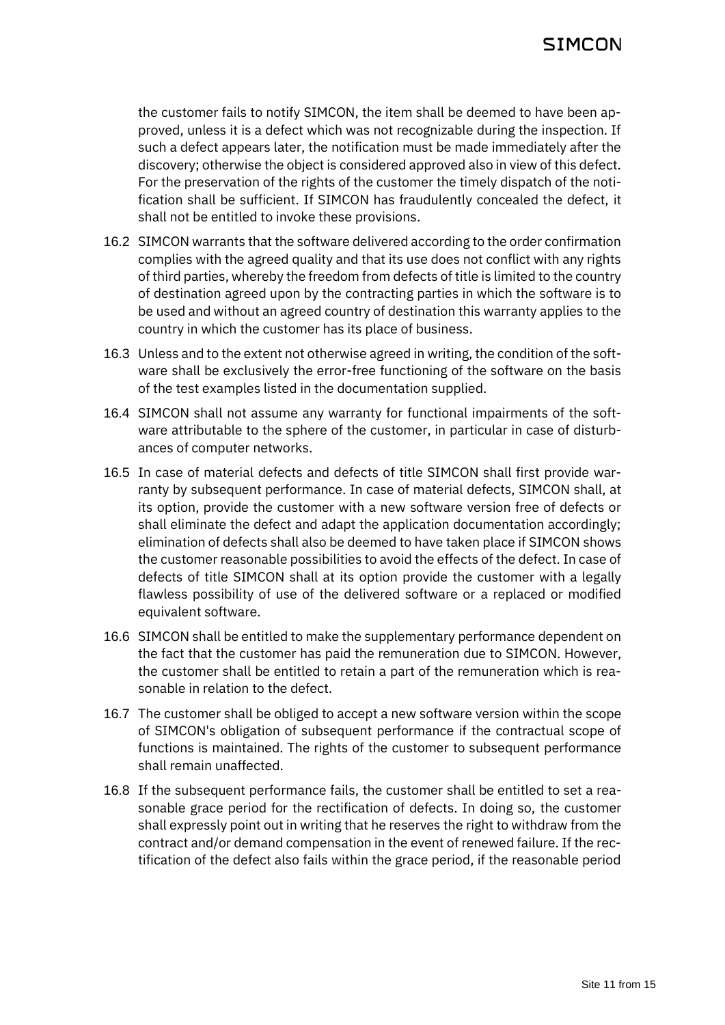the customer fails to notify SIMCON, the item shall be deemed to have been approved, unless it is a defect which was not recognizable during the inspection. If such a defect appears later, the notification must be made immediately after the discovery; otherwise the object is considered approved also in view of this defect. For the preservation of the rights of the customer the timely dispatch of the notification shall be sufficient. If SIMCON has fraudulently concealed the defect, it shall not be entitled to invoke these provisions.

- 16.2 SIMCON warrants that the software delivered according to the order confirmation complies with the agreed quality and that its use does not conflict with any rights of third parties, whereby the freedom from defects of title is limited to the country of destination agreed upon by the contracting parties in which the software is to be used and without an agreed country of destination this warranty applies to the country in which the customer has its place of business.
- 16.3 Unless and to the extent not otherwise agreed in writing, the condition of the software shall be exclusively the error-free functioning of the software on the basis of the test examples listed in the documentation supplied.
- 16.4 SIMCON shall not assume any warranty for functional impairments of the software attributable to the sphere of the customer, in particular in case of disturbances of computer networks.
- 16.5 In case of material defects and defects of title SIMCON shall first provide warranty by subsequent performance. In case of material defects, SIMCON shall, at its option, provide the customer with a new software version free of defects or shall eliminate the defect and adapt the application documentation accordingly; elimination of defects shall also be deemed to have taken place if SIMCON shows the customer reasonable possibilities to avoid the effects of the defect. In case of defects of title SIMCON shall at its option provide the customer with a legally flawless possibility of use of the delivered software or a replaced or modified equivalent software.
- 16.6 SIMCON shall be entitled to make the supplementary performance dependent on the fact that the customer has paid the remuneration due to SIMCON. However, the customer shall be entitled to retain a part of the remuneration which is reasonable in relation to the defect.
- 16.7 The customer shall be obliged to accept a new software version within the scope of SIMCON's obligation of subsequent performance if the contractual scope of functions is maintained. The rights of the customer to subsequent performance shall remain unaffected.
- 16.8 If the subsequent performance fails, the customer shall be entitled to set a reasonable grace period for the rectification of defects. In doing so, the customer shall expressly point out in writing that he reserves the right to withdraw from the contract and/or demand compensation in the event of renewed failure. If the rectification of the defect also fails within the grace period, if the reasonable period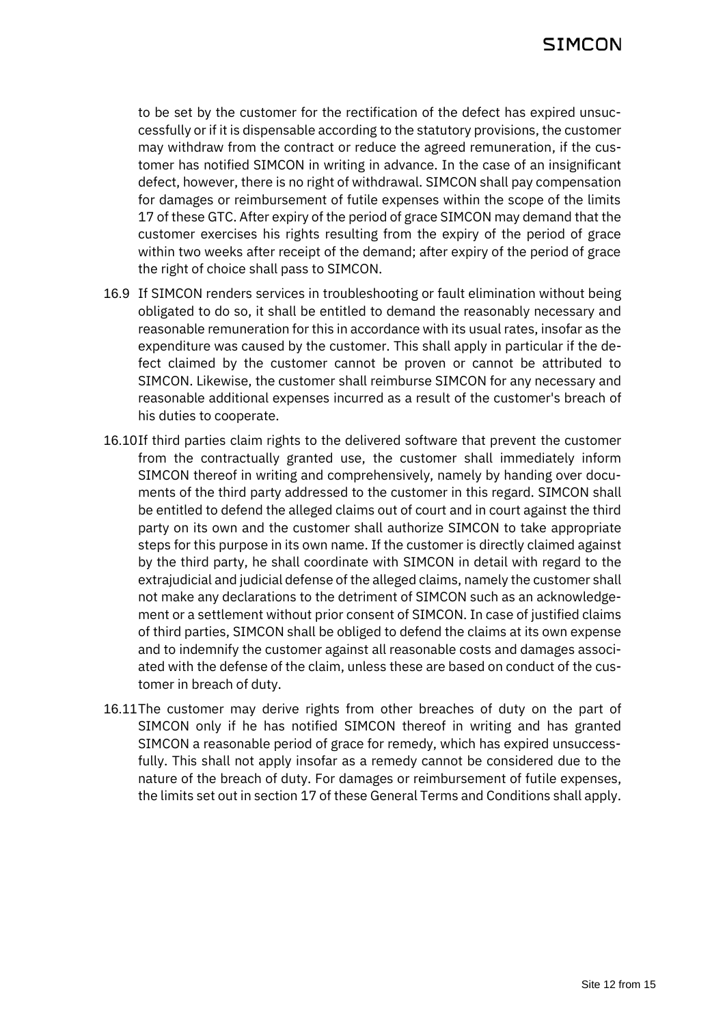to be set by the customer for the rectification of the defect has expired unsuccessfully or if it is dispensable according to the statutory provisions, the customer may withdraw from the contract or reduce the agreed remuneration, if the customer has notified SIMCON in writing in advance. In the case of an insignificant defect, however, there is no right of withdrawal. SIMCON shall pay compensation for damages or reimbursement of futile expenses within the scope of the limits [17](#page-12-0) of these GTC. After expiry of the period of grace SIMCON may demand that the customer exercises his rights resulting from the expiry of the period of grace within two weeks after receipt of the demand; after expiry of the period of grace the right of choice shall pass to SIMCON.

- 16.9 If SIMCON renders services in troubleshooting or fault elimination without being obligated to do so, it shall be entitled to demand the reasonably necessary and reasonable remuneration for this in accordance with its usual rates, insofar as the expenditure was caused by the customer. This shall apply in particular if the defect claimed by the customer cannot be proven or cannot be attributed to SIMCON. Likewise, the customer shall reimburse SIMCON for any necessary and reasonable additional expenses incurred as a result of the customer's breach of his duties to cooperate.
- 16.10If third parties claim rights to the delivered software that prevent the customer from the contractually granted use, the customer shall immediately inform SIMCON thereof in writing and comprehensively, namely by handing over documents of the third party addressed to the customer in this regard. SIMCON shall be entitled to defend the alleged claims out of court and in court against the third party on its own and the customer shall authorize SIMCON to take appropriate steps for this purpose in its own name. If the customer is directly claimed against by the third party, he shall coordinate with SIMCON in detail with regard to the extrajudicial and judicial defense of the alleged claims, namely the customer shall not make any declarations to the detriment of SIMCON such as an acknowledgement or a settlement without prior consent of SIMCON. In case of justified claims of third parties, SIMCON shall be obliged to defend the claims at its own expense and to indemnify the customer against all reasonable costs and damages associated with the defense of the claim, unless these are based on conduct of the customer in breach of duty.
- 16.11The customer may derive rights from other breaches of duty on the part of SIMCON only if he has notified SIMCON thereof in writing and has granted SIMCON a reasonable period of grace for remedy, which has expired unsuccessfully. This shall not apply insofar as a remedy cannot be considered due to the nature of the breach of duty. For damages or reimbursement of futile expenses, the limits set out in section [17](#page-12-0) of these General Terms and Conditions shall apply.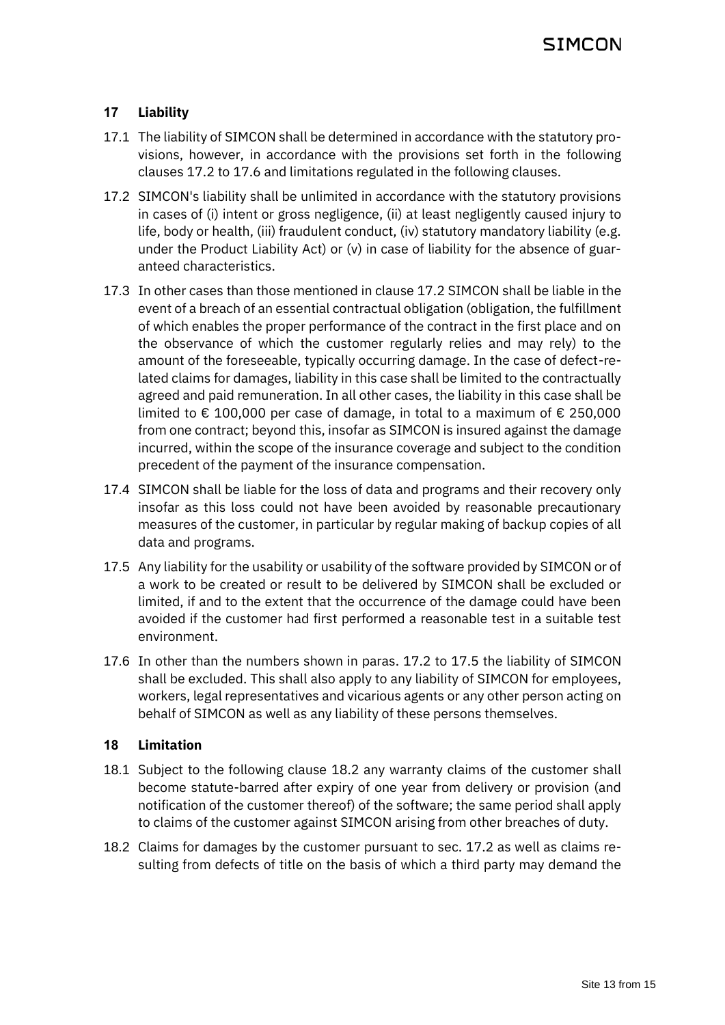# <span id="page-12-0"></span>**17 Liability**

- 17.1 The liability of SIMCON shall be determined in accordance with the statutory provisions, however, in accordance with the provisions set forth in the following clauses [17.2](#page-12-1) to [17.6](#page-12-2) and limitations regulated in the following clauses.
- <span id="page-12-1"></span>17.2 SIMCON's liability shall be unlimited in accordance with the statutory provisions in cases of (i) intent or gross negligence, (ii) at least negligently caused injury to life, body or health, (iii) fraudulent conduct, (iv) statutory mandatory liability (e.g. under the Product Liability Act) or (v) in case of liability for the absence of guaranteed characteristics.
- 17.3 In other cases than those mentioned in claus[e 17.2](#page-12-1) SIMCON shall be liable in the event of a breach of an essential contractual obligation (obligation, the fulfillment of which enables the proper performance of the contract in the first place and on the observance of which the customer regularly relies and may rely) to the amount of the foreseeable, typically occurring damage. In the case of defect-related claims for damages, liability in this case shall be limited to the contractually agreed and paid remuneration. In all other cases, the liability in this case shall be limited to € 100,000 per case of damage, in total to a maximum of € 250,000 from one contract; beyond this, insofar as SIMCON is insured against the damage incurred, within the scope of the insurance coverage and subject to the condition precedent of the payment of the insurance compensation.
- 17.4 SIMCON shall be liable for the loss of data and programs and their recovery only insofar as this loss could not have been avoided by reasonable precautionary measures of the customer, in particular by regular making of backup copies of all data and programs.
- <span id="page-12-3"></span>17.5 Any liability for the usability or usability of the software provided by SIMCON or of a work to be created or result to be delivered by SIMCON shall be excluded or limited, if and to the extent that the occurrence of the damage could have been avoided if the customer had first performed a reasonable test in a suitable test environment.
- <span id="page-12-2"></span>17.6 In other than the numbers shown in paras. [17.2](#page-12-1) to [17.5](#page-12-3) the liability of SIMCON shall be excluded. This shall also apply to any liability of SIMCON for employees, workers, legal representatives and vicarious agents or any other person acting on behalf of SIMCON as well as any liability of these persons themselves.

### **18 Limitation**

- 18.1 Subject to the following clause [18.2](#page-12-4) any warranty claims of the customer shall become statute-barred after expiry of one year from delivery or provision (and notification of the customer thereof) of the software; the same period shall apply to claims of the customer against SIMCON arising from other breaches of duty.
- <span id="page-12-4"></span>18.2 Claims for damages by the customer pursuant to sec. [17.2](#page-12-1) as well as claims resulting from defects of title on the basis of which a third party may demand the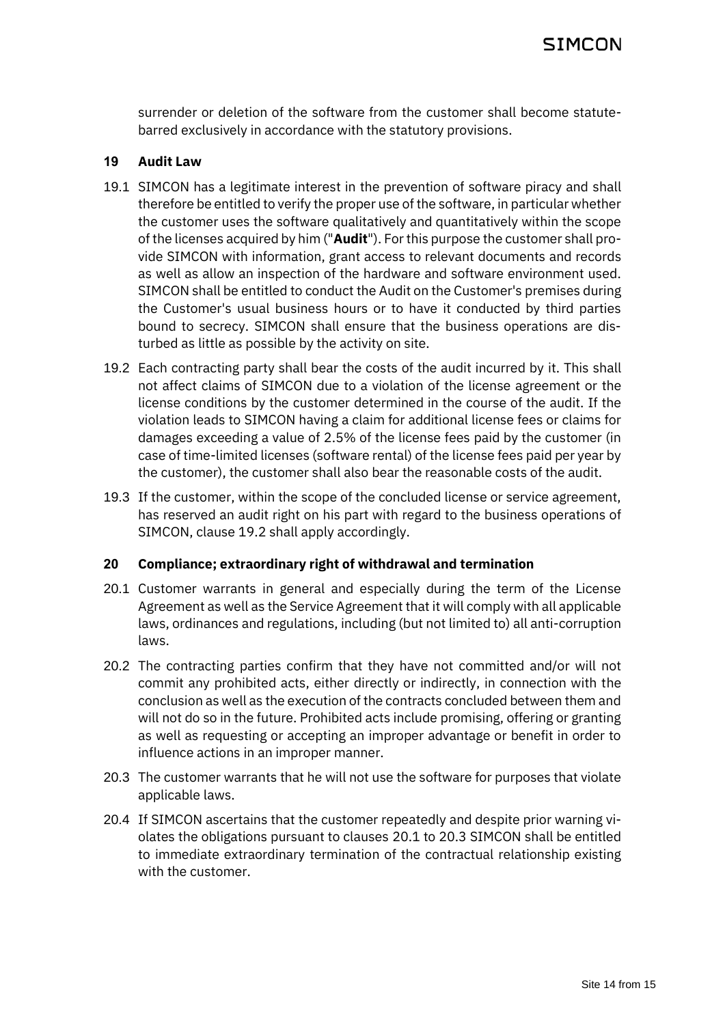surrender or deletion of the software from the customer shall become statutebarred exclusively in accordance with the statutory provisions.

#### **19 Audit Law**

- 19.1 SIMCON has a legitimate interest in the prevention of software piracy and shall therefore be entitled to verify the proper use of the software, in particular whether the customer uses the software qualitatively and quantitatively within the scope of the licenses acquired by him ("**Audit**"). For this purpose the customer shall provide SIMCON with information, grant access to relevant documents and records as well as allow an inspection of the hardware and software environment used. SIMCON shall be entitled to conduct the Audit on the Customer's premises during the Customer's usual business hours or to have it conducted by third parties bound to secrecy. SIMCON shall ensure that the business operations are disturbed as little as possible by the activity on site.
- <span id="page-13-0"></span>19.2 Each contracting party shall bear the costs of the audit incurred by it. This shall not affect claims of SIMCON due to a violation of the license agreement or the license conditions by the customer determined in the course of the audit. If the violation leads to SIMCON having a claim for additional license fees or claims for damages exceeding a value of 2.5% of the license fees paid by the customer (in case of time-limited licenses (software rental) of the license fees paid per year by the customer), the customer shall also bear the reasonable costs of the audit.
- 19.3 If the customer, within the scope of the concluded license or service agreement, has reserved an audit right on his part with regard to the business operations of SIMCON, claus[e 19.2](#page-13-0) shall apply accordingly.

### **20 Compliance; extraordinary right of withdrawal and termination**

- <span id="page-13-1"></span>20.1 Customer warrants in general and especially during the term of the License Agreement as well as the Service Agreement that it will comply with all applicable laws, ordinances and regulations, including (but not limited to) all anti-corruption laws.
- 20.2 The contracting parties confirm that they have not committed and/or will not commit any prohibited acts, either directly or indirectly, in connection with the conclusion as well as the execution of the contracts concluded between them and will not do so in the future. Prohibited acts include promising, offering or granting as well as requesting or accepting an improper advantage or benefit in order to influence actions in an improper manner.
- <span id="page-13-2"></span>20.3 The customer warrants that he will not use the software for purposes that violate applicable laws.
- 20.4 If SIMCON ascertains that the customer repeatedly and despite prior warning violates the obligations pursuant to clauses [20.1](#page-13-1) to [20.3](#page-13-2) SIMCON shall be entitled to immediate extraordinary termination of the contractual relationship existing with the customer.